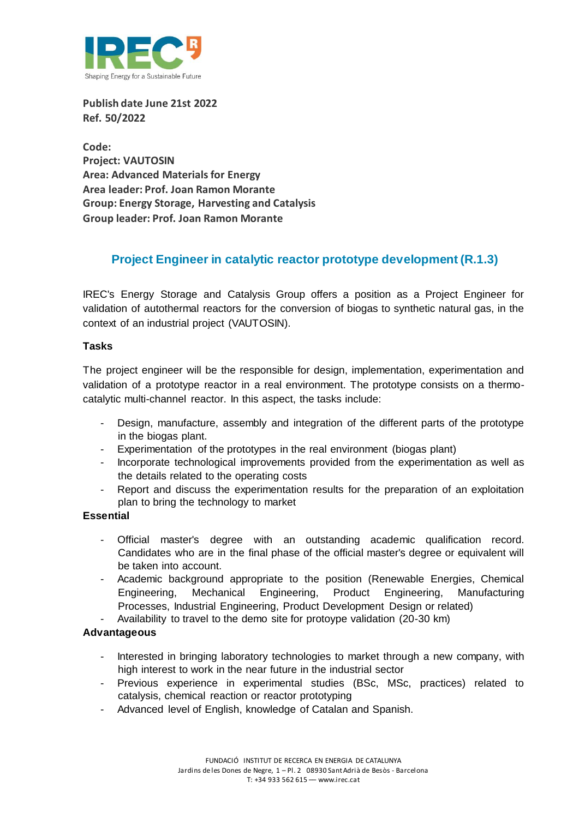

**Publish date June 21st 2022 Ref. 50/2022**

**Code: Project: VAUTOSIN Area: Advanced Materials for Energy Area leader: Prof. Joan Ramon Morante Group: Energy Storage, Harvesting and Catalysis Group leader: Prof. Joan Ramon Morante**

# **Project Engineer in catalytic reactor prototype development (R.1.3)**

IREC's Energy Storage and Catalysis Group offers a position as a Project Engineer for validation of autothermal reactors for the conversion of biogas to synthetic natural gas, in the context of an industrial project (VAUTOSIN).

# **Tasks**

The project engineer will be the responsible for design, implementation, experimentation and validation of a prototype reactor in a real environment. The prototype consists on a thermocatalytic multi-channel reactor. In this aspect, the tasks include:

- Design, manufacture, assembly and integration of the different parts of the prototype in the biogas plant.
- Experimentation of the prototypes in the real environment (biogas plant)
- Incorporate technological improvements provided from the experimentation as well as the details related to the operating costs
- Report and discuss the experimentation results for the preparation of an exploitation plan to bring the technology to market

# **Essential**

- Official master's degree with an outstanding academic qualification record. Candidates who are in the final phase of the official master's degree or equivalent will be taken into account.
- Academic background appropriate to the position (Renewable Energies, Chemical Engineering, Mechanical Engineering, Product Engineering, Manufacturing Processes, Industrial Engineering, Product Development Design or related)
- Availability to travel to the demo site for protoype validation (20-30 km)

# **Advantageous**

- Interested in bringing laboratory technologies to market through a new company, with high interest to work in the near future in the industrial sector
- Previous experience in experimental studies (BSc, MSc, practices) related to catalysis, chemical reaction or reactor prototyping
- Advanced level of English, knowledge of Catalan and Spanish.